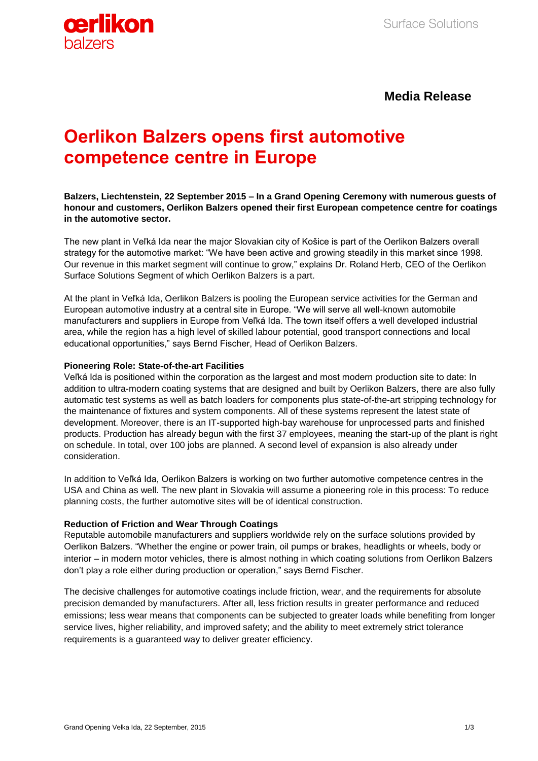

# **Media Release**

# **Oerlikon Balzers opens first automotive competence centre in Europe**

## **Balzers, Liechtenstein, 22 September 2015 – In a Grand Opening Ceremony with numerous guests of honour and customers, Oerlikon Balzers opened their first European competence centre for coatings in the automotive sector.**

The new plant in Veľká Ida near the major Slovakian city of Košice is part of the Oerlikon Balzers overall strategy for the automotive market: "We have been active and growing steadily in this market since 1998. Our revenue in this market segment will continue to grow," explains Dr. Roland Herb, CEO of the Oerlikon Surface Solutions Segment of which Oerlikon Balzers is a part.

At the plant in Veľká Ida, Oerlikon Balzers is pooling the European service activities for the German and European automotive industry at a central site in Europe. "We will serve all well-known automobile manufacturers and suppliers in Europe from Veľká Ida. The town itself offers a well developed industrial area, while the region has a high level of skilled labour potential, good transport connections and local educational opportunities," says Bernd Fischer, Head of Oerlikon Balzers.

#### **Pioneering Role: State-of-the-art Facilities**

Veľká Ida is positioned within the corporation as the largest and most modern production site to date: In addition to ultra-modern coating systems that are designed and built by Oerlikon Balzers, there are also fully automatic test systems as well as batch loaders for components plus state-of-the-art stripping technology for the maintenance of fixtures and system components. All of these systems represent the latest state of development. Moreover, there is an IT-supported high-bay warehouse for unprocessed parts and finished products. Production has already begun with the first 37 employees, meaning the start-up of the plant is right on schedule. In total, over 100 jobs are planned. A second level of expansion is also already under consideration.

In addition to Veľká Ida, Oerlikon Balzers is working on two further automotive competence centres in the USA and China as well. The new plant in Slovakia will assume a pioneering role in this process: To reduce planning costs, the further automotive sites will be of identical construction.

### **Reduction of Friction and Wear Through Coatings**

Reputable automobile manufacturers and suppliers worldwide rely on the surface solutions provided by Oerlikon Balzers. "Whether the engine or power train, oil pumps or brakes, headlights or wheels, body or interior – in modern motor vehicles, there is almost nothing in which coating solutions from Oerlikon Balzers don't play a role either during production or operation," says Bernd Fischer.

The decisive challenges for automotive coatings include friction, wear, and the requirements for absolute precision demanded by manufacturers. After all, less friction results in greater performance and reduced emissions; less wear means that components can be subjected to greater loads while benefiting from longer service lives, higher reliability, and improved safety; and the ability to meet extremely strict tolerance requirements is a guaranteed way to deliver greater efficiency.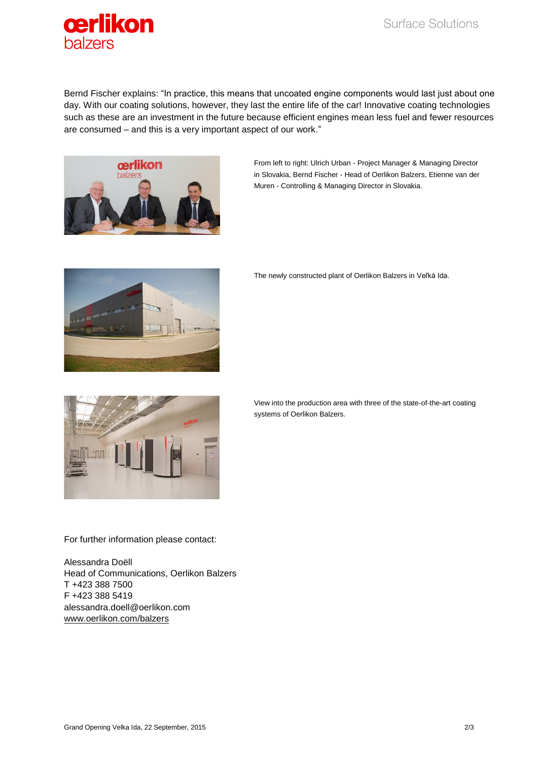

Bernd Fischer explains: "In practice, this means that uncoated engine components would last just about one day. With our coating solutions, however, they last the entire life of the car! Innovative coating technologies such as these are an investment in the future because efficient engines mean less fuel and fewer resources are consumed – and this is a very important aspect of our work."



From left to right: Ulrich Urban - Project Manager & Managing Director in Slovakia, Bernd Fischer - Head of Oerlikon Balzers, Etienne van der Muren - Controlling & Managing Director in Slovakia.



The newly constructed plant of Oerlikon Balzers in Veľká Ida.



View into the production area with three of the state-of-the-art coating systems of Oerlikon Balzers.

For further information please contact:

Alessandra Doëll Head of Communications, Oerlikon Balzers T +423 388 7500 F +423 388 5419 alessandra.doell@oerlikon.com [www.oerlikon.com/balzers](http://www.oerlikon.com/balzers)